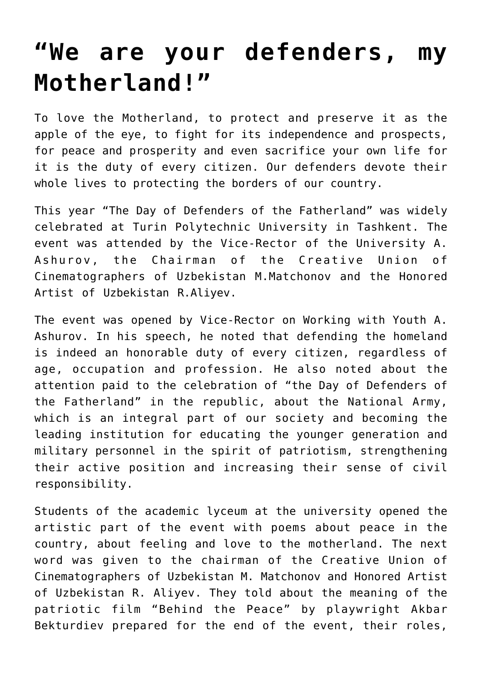## **["We are your defenders, my](https://polito.uz/6186/) [Motherland!"](https://polito.uz/6186/)**

To love the Motherland, to protect and preserve it as the apple of the eye, to fight for its independence and prospects, for peace and prosperity and even sacrifice your own life for it is the duty of every citizen. Our defenders devote their whole lives to protecting the borders of our country.

This year "The Day of Defenders of the Fatherland" was widely celebrated at Turin Polytechnic University in Tashkent. The event was attended by the Vice-Rector of the University A. Ashurov, the Chairman of the Creative Union of Cinematographers of Uzbekistan M.Matchonov and the Honored Artist of Uzbekistan R.Aliyev.

The event was opened by Vice-Rector on Working with Youth A. Ashurov. In his speech, he noted that defending the homeland is indeed an honorable duty of every citizen, regardless of age, occupation and profession. He also noted about the attention paid to the celebration of "the Day of Defenders of the Fatherland" in the republic, about the National Army, which is an integral part of our society and becoming the leading institution for educating the younger generation and military personnel in the spirit of patriotism, strengthening their active position and increasing their sense of civil responsibility.

Students of the academic lyceum at the university opened the artistic part of the event with poems about peace in the country, about feeling and love to the motherland. The next word was given to the chairman of the Creative Union of Cinematographers of Uzbekistan M. Matchonov and Honored Artist of Uzbekistan R. Aliyev. They told about the meaning of the patriotic film "Behind the Peace" by playwright Akbar Bekturdiev prepared for the end of the event, their roles,